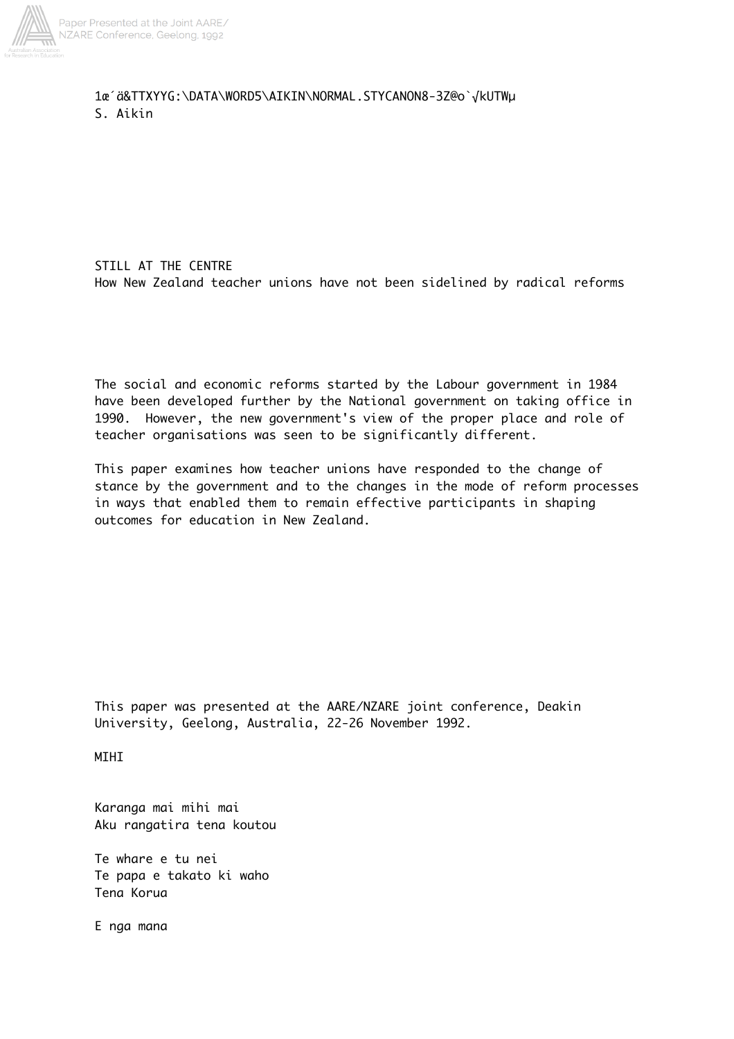

1æ´ä&TTXYYG:\DATA\WORD5\AIKIN\NORMAL.STYCANON8-3Z@o`√kUTWµ S. Aikin

STILL AT THE CENTRE How New Zealand teacher unions have not been sidelined by radical reforms

The social and economic reforms started by the Labour government in 1984 have been developed further by the National government on taking office in 1990. However, the new government's view of the proper place and role of teacher organisations was seen to be significantly different.

This paper examines how teacher unions have responded to the change of stance by the government and to the changes in the mode of reform processes in ways that enabled them to remain effective participants in shaping outcomes for education in New Zealand.

This paper was presented at the AARE/NZARE joint conference, Deakin University, Geelong, Australia, 22-26 November 1992.

MIHI

Karanga mai mihi mai Aku rangatira tena koutou

Te whare e tu nei Te papa e takato ki waho Tena Korua

E nga mana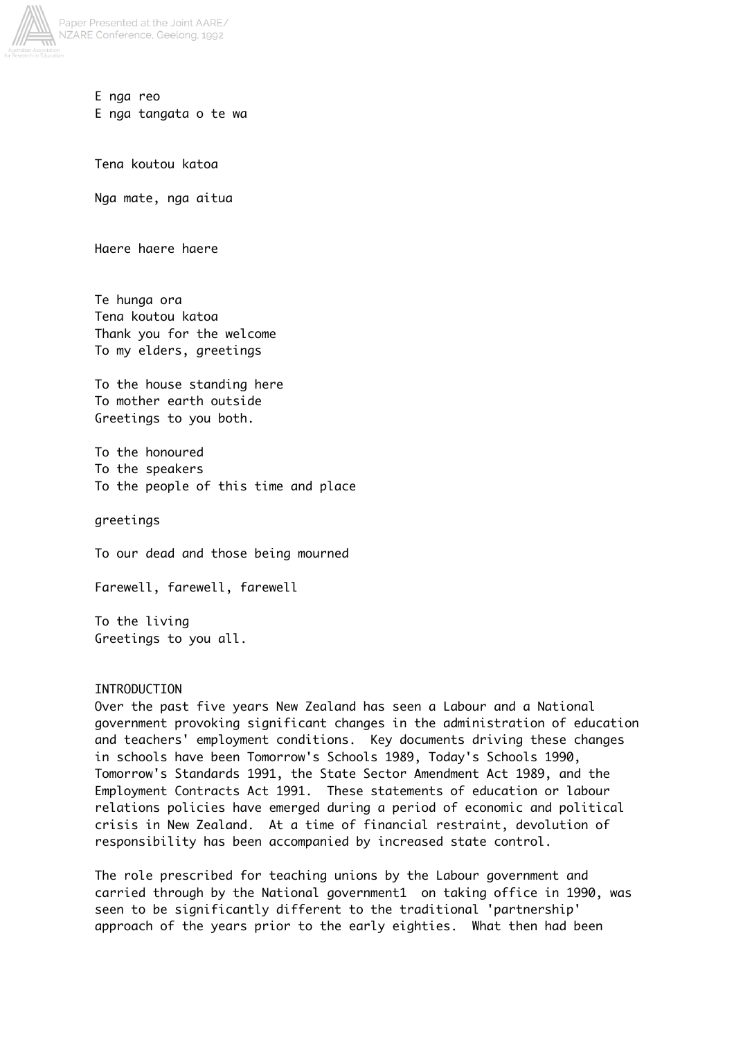

E nga reo E nga tangata o te wa

Tena koutou katoa

Nga mate, nga aitua

Haere haere haere

Te hunga ora Tena koutou katoa Thank you for the welcome To my elders, greetings

To the house standing here To mother earth outside Greetings to you both.

To the honoured To the speakers To the people of this time and place

greetings

To our dead and those being mourned

Farewell, farewell, farewell

To the living Greetings to you all.

#### INTRODUCTION

Over the past five years New Zealand has seen a Labour and a National government provoking significant changes in the administration of education and teachers' employment conditions. Key documents driving these changes in schools have been Tomorrow's Schools 1989, Today's Schools 1990, Tomorrow's Standards 1991, the State Sector Amendment Act 1989, and the Employment Contracts Act 1991. These statements of education or labour relations policies have emerged during a period of economic and political crisis in New Zealand. At a time of financial restraint, devolution of responsibility has been accompanied by increased state control.

The role prescribed for teaching unions by the Labour government and carried through by the National government1 on taking office in 1990, was seen to be significantly different to the traditional 'partnership' approach of the years prior to the early eighties. What then had been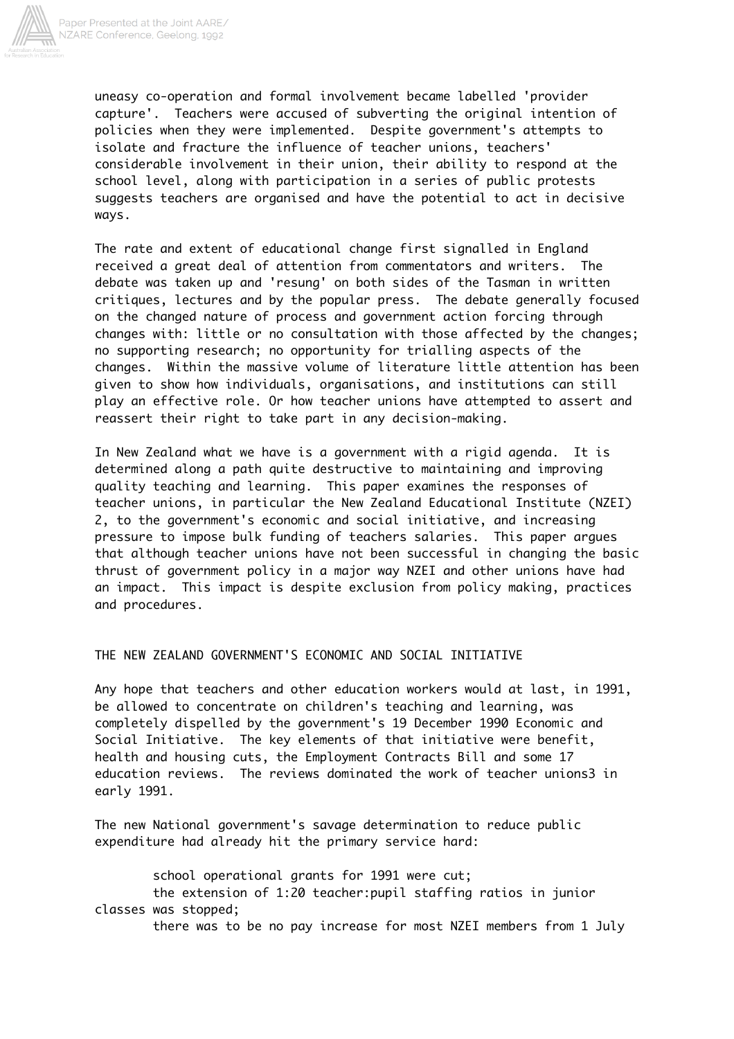

uneasy co-operation and formal involvement became labelled 'provider capture'. Teachers were accused of subverting the original intention of policies when they were implemented. Despite government's attempts to isolate and fracture the influence of teacher unions, teachers' considerable involvement in their union, their ability to respond at the school level, along with participation in a series of public protests suggests teachers are organised and have the potential to act in decisive ways.

The rate and extent of educational change first signalled in England received a great deal of attention from commentators and writers. The debate was taken up and 'resung' on both sides of the Tasman in written critiques, lectures and by the popular press. The debate generally focused on the changed nature of process and government action forcing through changes with: little or no consultation with those affected by the changes; no supporting research; no opportunity for trialling aspects of the changes. Within the massive volume of literature little attention has been given to show how individuals, organisations, and institutions can still play an effective role. Or how teacher unions have attempted to assert and reassert their right to take part in any decision-making.

In New Zealand what we have is a government with a rigid agenda. It is determined along a path quite destructive to maintaining and improving quality teaching and learning. This paper examines the responses of teacher unions, in particular the New Zealand Educational Institute (NZEI) 2, to the government's economic and social initiative, and increasing pressure to impose bulk funding of teachers salaries. This paper argues that although teacher unions have not been successful in changing the basic thrust of government policy in a major way NZEI and other unions have had an impact. This impact is despite exclusion from policy making, practices and procedures.

# THE NEW ZEALAND GOVERNMENT'S ECONOMIC AND SOCIAL INITIATIVE

Any hope that teachers and other education workers would at last, in 1991, be allowed to concentrate on children's teaching and learning, was completely dispelled by the government's 19 December 1990 Economic and Social Initiative. The key elements of that initiative were benefit, health and housing cuts, the Employment Contracts Bill and some 17 education reviews. The reviews dominated the work of teacher unions3 in early 1991.

The new National government's savage determination to reduce public expenditure had already hit the primary service hard:

school operational grants for 1991 were cut;

the extension of 1:20 teacher:pupil staffing ratios in junior classes was stopped;

there was to be no pay increase for most NZEI members from 1 July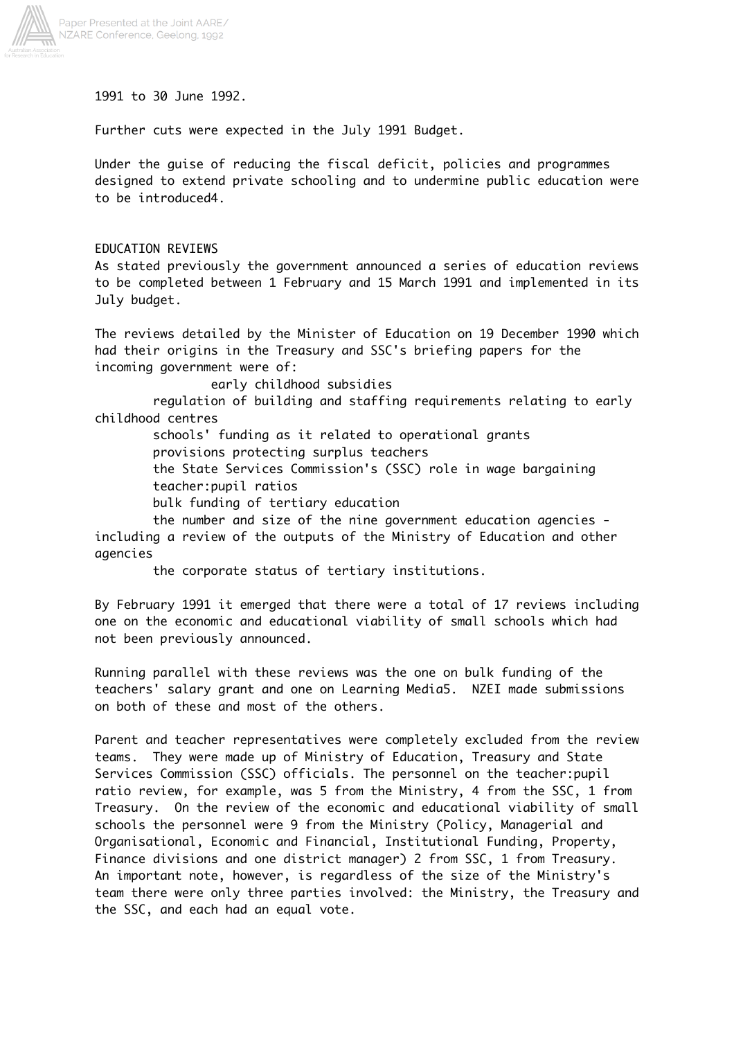

# 1991 to 30 June 1992.

Further cuts were expected in the July 1991 Budget.

Under the guise of reducing the fiscal deficit, policies and programmes designed to extend private schooling and to undermine public education were to be introduced4.

EDUCATION REVIEWS

As stated previously the government announced a series of education reviews to be completed between 1 February and 15 March 1991 and implemented in its July budget.

The reviews detailed by the Minister of Education on 19 December 1990 which had their origins in the Treasury and SSC's briefing papers for the incoming government were of:

early childhood subsidies

regulation of building and staffing requirements relating to early childhood centres

schools' funding as it related to operational grants

provisions protecting surplus teachers

the State Services Commission's (SSC) role in wage bargaining teacher:pupil ratios

bulk funding of tertiary education

the number and size of the nine government education agencies including a review of the outputs of the Ministry of Education and other agencies

the corporate status of tertiary institutions.

By February 1991 it emerged that there were a total of 17 reviews including one on the economic and educational viability of small schools which had not been previously announced.

Running parallel with these reviews was the one on bulk funding of the teachers' salary grant and one on Learning Media5. NZEI made submissions on both of these and most of the others.

Parent and teacher representatives were completely excluded from the review teams. They were made up of Ministry of Education, Treasury and State Services Commission (SSC) officials. The personnel on the teacher:pupil ratio review, for example, was 5 from the Ministry, 4 from the SSC, 1 from Treasury. On the review of the economic and educational viability of small schools the personnel were 9 from the Ministry (Policy, Managerial and Organisational, Economic and Financial, Institutional Funding, Property, Finance divisions and one district manager) 2 from SSC, 1 from Treasury. An important note, however, is regardless of the size of the Ministry's team there were only three parties involved: the Ministry, the Treasury and the SSC, and each had an equal vote.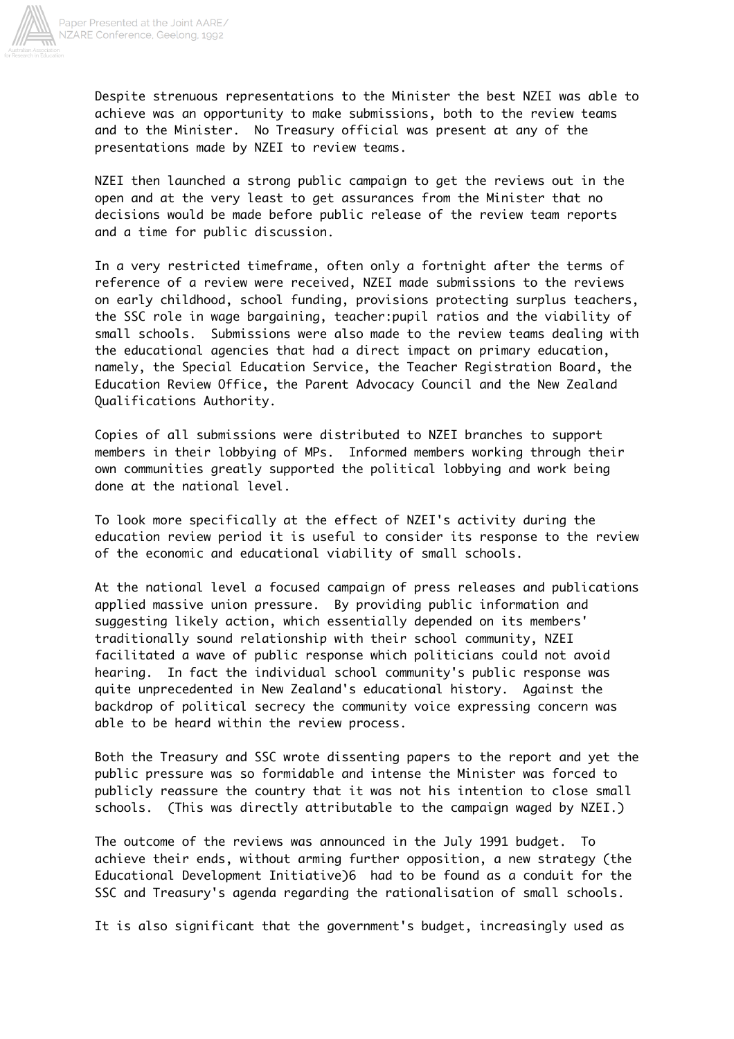

Despite strenuous representations to the Minister the best NZEI was able to achieve was an opportunity to make submissions, both to the review teams and to the Minister. No Treasury official was present at any of the presentations made by NZEI to review teams.

NZEI then launched a strong public campaign to get the reviews out in the open and at the very least to get assurances from the Minister that no decisions would be made before public release of the review team reports and a time for public discussion.

In a very restricted timeframe, often only a fortnight after the terms of reference of a review were received, NZEI made submissions to the reviews on early childhood, school funding, provisions protecting surplus teachers, the SSC role in wage bargaining, teacher:pupil ratios and the viability of small schools. Submissions were also made to the review teams dealing with the educational agencies that had a direct impact on primary education, namely, the Special Education Service, the Teacher Registration Board, the Education Review Office, the Parent Advocacy Council and the New Zealand Qualifications Authority.

Copies of all submissions were distributed to NZEI branches to support members in their lobbying of MPs. Informed members working through their own communities greatly supported the political lobbying and work being done at the national level.

To look more specifically at the effect of NZEI's activity during the education review period it is useful to consider its response to the review of the economic and educational viability of small schools.

At the national level a focused campaign of press releases and publications applied massive union pressure. By providing public information and suggesting likely action, which essentially depended on its members' traditionally sound relationship with their school community, NZEI facilitated a wave of public response which politicians could not avoid hearing. In fact the individual school community's public response was quite unprecedented in New Zealand's educational history. Against the backdrop of political secrecy the community voice expressing concern was able to be heard within the review process.

Both the Treasury and SSC wrote dissenting papers to the report and yet the public pressure was so formidable and intense the Minister was forced to publicly reassure the country that it was not his intention to close small schools. (This was directly attributable to the campaign waged by NZEI.)

The outcome of the reviews was announced in the July 1991 budget. To achieve their ends, without arming further opposition, a new strategy (the Educational Development Initiative)6 had to be found as a conduit for the SSC and Treasury's agenda regarding the rationalisation of small schools.

It is also significant that the government's budget, increasingly used as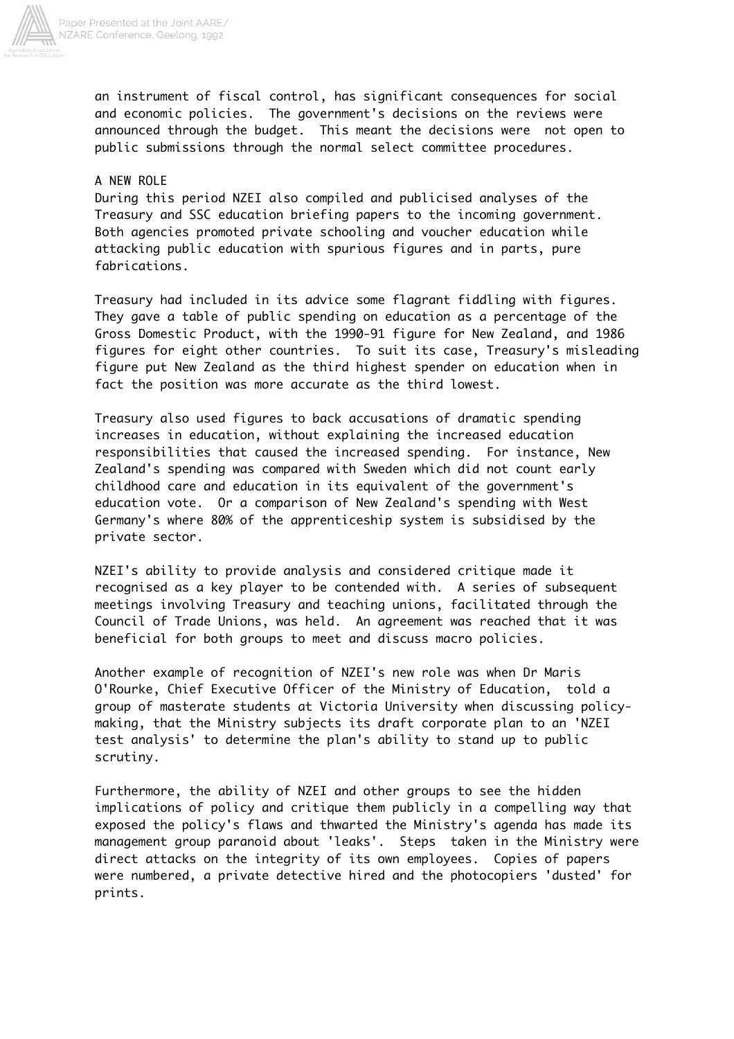

an instrument of fiscal control, has significant consequences for social and economic policies. The government's decisions on the reviews were announced through the budget. This meant the decisions were not open to public submissions through the normal select committee procedures.

# A NEW ROLE

During this period NZEI also compiled and publicised analyses of the Treasury and SSC education briefing papers to the incoming government. Both agencies promoted private schooling and voucher education while attacking public education with spurious figures and in parts, pure fabrications.

Treasury had included in its advice some flagrant fiddling with figures. They gave a table of public spending on education as a percentage of the Gross Domestic Product, with the 1990-91 figure for New Zealand, and 1986 figures for eight other countries. To suit its case, Treasury's misleading figure put New Zealand as the third highest spender on education when in fact the position was more accurate as the third lowest.

Treasury also used figures to back accusations of dramatic spending increases in education, without explaining the increased education responsibilities that caused the increased spending. For instance, New Zealand's spending was compared with Sweden which did not count early childhood care and education in its equivalent of the government's education vote. Or a comparison of New Zealand's spending with West Germany's where 80% of the apprenticeship system is subsidised by the private sector.

NZEI's ability to provide analysis and considered critique made it recognised as a key player to be contended with. A series of subsequent meetings involving Treasury and teaching unions, facilitated through the Council of Trade Unions, was held. An agreement was reached that it was beneficial for both groups to meet and discuss macro policies.

Another example of recognition of NZEI's new role was when Dr Maris O'Rourke, Chief Executive Officer of the Ministry of Education, told a group of masterate students at Victoria University when discussing policymaking, that the Ministry subjects its draft corporate plan to an 'NZEI test analysis' to determine the plan's ability to stand up to public scrutiny.

Furthermore, the ability of NZEI and other groups to see the hidden implications of policy and critique them publicly in a compelling way that exposed the policy's flaws and thwarted the Ministry's agenda has made its management group paranoid about 'leaks'. Steps taken in the Ministry were direct attacks on the integrity of its own employees. Copies of papers were numbered, a private detective hired and the photocopiers 'dusted' for prints.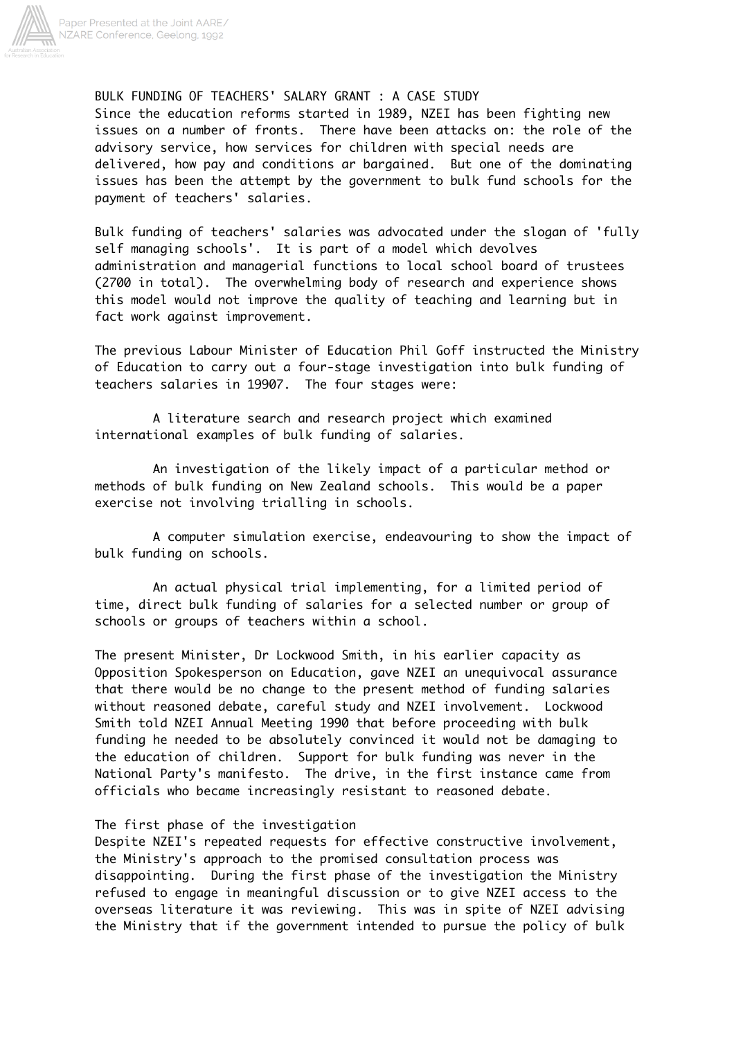

BULK FUNDING OF TEACHERS' SALARY GRANT : A CASE STUDY Since the education reforms started in 1989, NZEI has been fighting new issues on a number of fronts. There have been attacks on: the role of the advisory service, how services for children with special needs are delivered, how pay and conditions ar bargained. But one of the dominating issues has been the attempt by the government to bulk fund schools for the payment of teachers' salaries.

Bulk funding of teachers' salaries was advocated under the slogan of 'fully self managing schools'. It is part of a model which devolves administration and managerial functions to local school board of trustees (2700 in total). The overwhelming body of research and experience shows this model would not improve the quality of teaching and learning but in fact work against improvement.

The previous Labour Minister of Education Phil Goff instructed the Ministry of Education to carry out a four-stage investigation into bulk funding of teachers salaries in 19907. The four stages were:

A literature search and research project which examined international examples of bulk funding of salaries.

An investigation of the likely impact of a particular method or methods of bulk funding on New Zealand schools. This would be a paper exercise not involving trialling in schools.

A computer simulation exercise, endeavouring to show the impact of bulk funding on schools.

An actual physical trial implementing, for a limited period of time, direct bulk funding of salaries for a selected number or group of schools or groups of teachers within a school.

The present Minister, Dr Lockwood Smith, in his earlier capacity as Opposition Spokesperson on Education, gave NZEI an unequivocal assurance that there would be no change to the present method of funding salaries without reasoned debate, careful study and NZEI involvement. Lockwood Smith told NZEI Annual Meeting 1990 that before proceeding with bulk funding he needed to be absolutely convinced it would not be damaging to the education of children. Support for bulk funding was never in the National Party's manifesto. The drive, in the first instance came from officials who became increasingly resistant to reasoned debate.

### The first phase of the investigation

Despite NZEI's repeated requests for effective constructive involvement, the Ministry's approach to the promised consultation process was disappointing. During the first phase of the investigation the Ministry refused to engage in meaningful discussion or to give NZEI access to the overseas literature it was reviewing. This was in spite of NZEI advising the Ministry that if the government intended to pursue the policy of bulk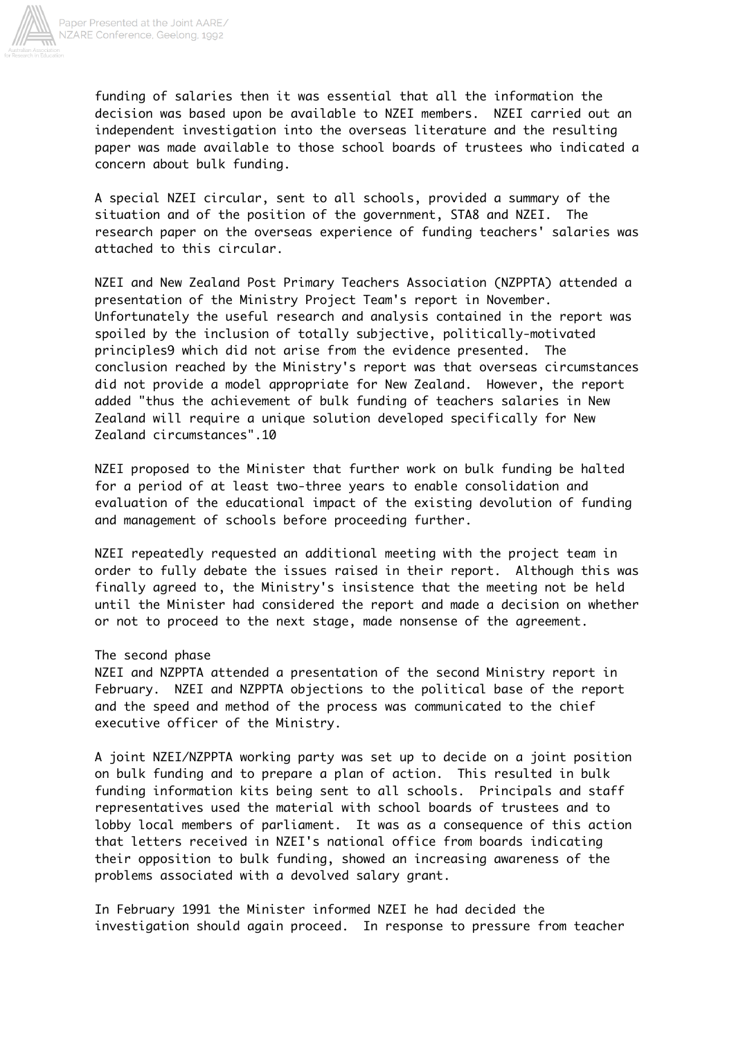

funding of salaries then it was essential that all the information the decision was based upon be available to NZEI members. NZEI carried out an independent investigation into the overseas literature and the resulting paper was made available to those school boards of trustees who indicated a concern about bulk funding.

A special NZEI circular, sent to all schools, provided a summary of the situation and of the position of the government, STA8 and NZEI. The research paper on the overseas experience of funding teachers' salaries was attached to this circular.

NZEI and New Zealand Post Primary Teachers Association (NZPPTA) attended a presentation of the Ministry Project Team's report in November. Unfortunately the useful research and analysis contained in the report was spoiled by the inclusion of totally subjective, politically-motivated principles9 which did not arise from the evidence presented. The conclusion reached by the Ministry's report was that overseas circumstances did not provide a model appropriate for New Zealand. However, the report added "thus the achievement of bulk funding of teachers salaries in New Zealand will require a unique solution developed specifically for New Zealand circumstances".10

NZEI proposed to the Minister that further work on bulk funding be halted for a period of at least two-three years to enable consolidation and evaluation of the educational impact of the existing devolution of funding and management of schools before proceeding further.

NZEI repeatedly requested an additional meeting with the project team in order to fully debate the issues raised in their report. Although this was finally agreed to, the Ministry's insistence that the meeting not be held until the Minister had considered the report and made a decision on whether or not to proceed to the next stage, made nonsense of the agreement.

# The second phase

NZEI and NZPPTA attended a presentation of the second Ministry report in February. NZEI and NZPPTA objections to the political base of the report and the speed and method of the process was communicated to the chief executive officer of the Ministry.

A joint NZEI/NZPPTA working party was set up to decide on a joint position on bulk funding and to prepare a plan of action. This resulted in bulk funding information kits being sent to all schools. Principals and staff representatives used the material with school boards of trustees and to lobby local members of parliament. It was as a consequence of this action that letters received in NZEI's national office from boards indicating their opposition to bulk funding, showed an increasing awareness of the problems associated with a devolved salary grant.

In February 1991 the Minister informed NZEI he had decided the investigation should again proceed. In response to pressure from teacher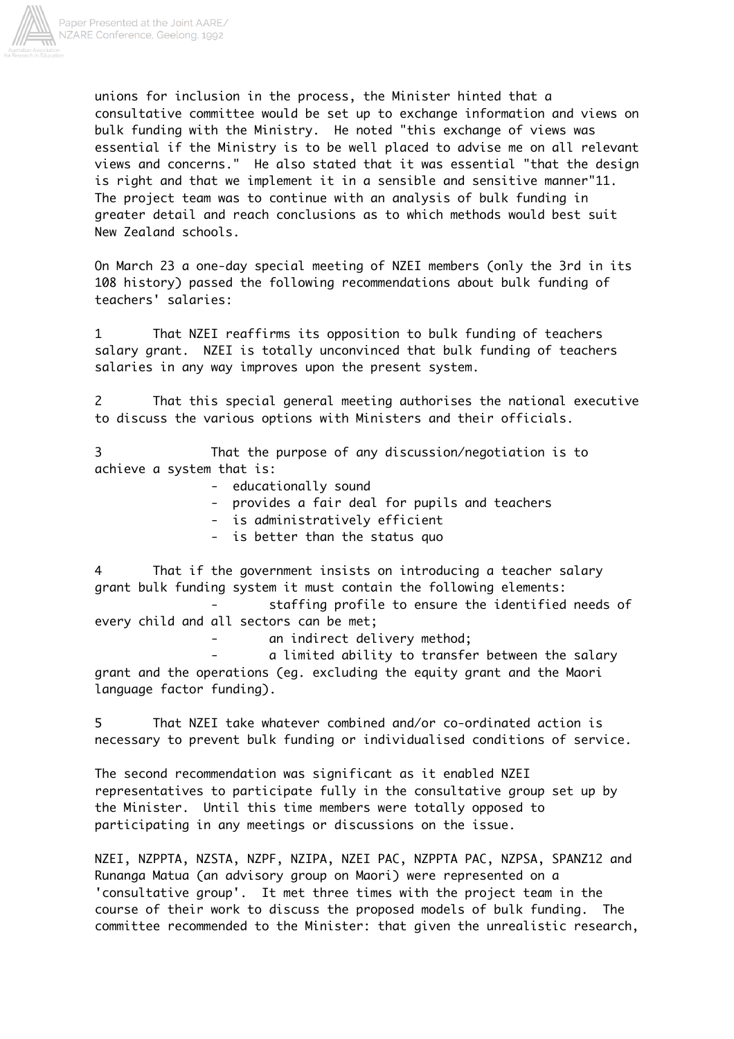

unions for inclusion in the process, the Minister hinted that a consultative committee would be set up to exchange information and views on bulk funding with the Ministry. He noted "this exchange of views was essential if the Ministry is to be well placed to advise me on all relevant views and concerns." He also stated that it was essential "that the design is right and that we implement it in a sensible and sensitive manner"11. The project team was to continue with an analysis of bulk funding in greater detail and reach conclusions as to which methods would best suit New Zealand schools.

On March 23 a one-day special meeting of NZEI members (only the 3rd in its 108 history) passed the following recommendations about bulk funding of teachers' salaries:

1 That NZEI reaffirms its opposition to bulk funding of teachers salary grant. NZEI is totally unconvinced that bulk funding of teachers salaries in any way improves upon the present system.

2 That this special general meeting authorises the national executive to discuss the various options with Ministers and their officials.

3 That the purpose of any discussion/negotiation is to achieve a system that is:

- educationally sound
- provides a fair deal for pupils and teachers
- is administratively efficient
- is better than the status quo

That if the government insists on introducing a teacher salary grant bulk funding system it must contain the following elements:

staffing profile to ensure the identified needs of every child and all sectors can be met;

an indirect delivery method;

a limited ability to transfer between the salary grant and the operations (eg. excluding the equity grant and the Maori language factor funding).

5 That NZEI take whatever combined and/or co-ordinated action is necessary to prevent bulk funding or individualised conditions of service.

The second recommendation was significant as it enabled NZEI representatives to participate fully in the consultative group set up by the Minister. Until this time members were totally opposed to participating in any meetings or discussions on the issue.

NZEI, NZPPTA, NZSTA, NZPF, NZIPA, NZEI PAC, NZPPTA PAC, NZPSA, SPANZ12 and Runanga Matua (an advisory group on Maori) were represented on a 'consultative group'. It met three times with the project team in the course of their work to discuss the proposed models of bulk funding. The committee recommended to the Minister: that given the unrealistic research,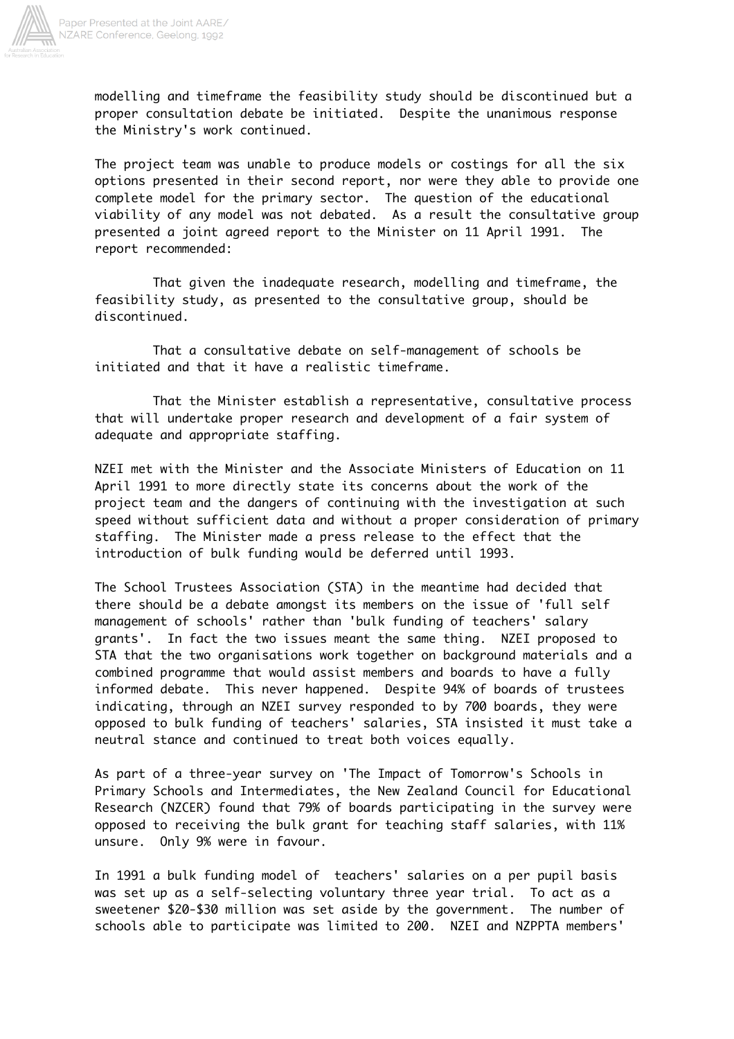

modelling and timeframe the feasibility study should be discontinued but a proper consultation debate be initiated. Despite the unanimous response the Ministry's work continued.

The project team was unable to produce models or costings for all the six options presented in their second report, nor were they able to provide one complete model for the primary sector. The question of the educational viability of any model was not debated. As a result the consultative group presented a joint agreed report to the Minister on 11 April 1991. The report recommended:

That given the inadequate research, modelling and timeframe, the feasibility study, as presented to the consultative group, should be discontinued.

That a consultative debate on self-management of schools be initiated and that it have a realistic timeframe.

That the Minister establish a representative, consultative process that will undertake proper research and development of a fair system of adequate and appropriate staffing.

NZEI met with the Minister and the Associate Ministers of Education on 11 April 1991 to more directly state its concerns about the work of the project team and the dangers of continuing with the investigation at such speed without sufficient data and without a proper consideration of primary staffing. The Minister made a press release to the effect that the introduction of bulk funding would be deferred until 1993.

The School Trustees Association (STA) in the meantime had decided that there should be a debate amongst its members on the issue of 'full self management of schools' rather than 'bulk funding of teachers' salary grants'. In fact the two issues meant the same thing. NZEI proposed to STA that the two organisations work together on background materials and a combined programme that would assist members and boards to have a fully informed debate. This never happened. Despite 94% of boards of trustees indicating, through an NZEI survey responded to by 700 boards, they were opposed to bulk funding of teachers' salaries, STA insisted it must take a neutral stance and continued to treat both voices equally.

As part of a three-year survey on 'The Impact of Tomorrow's Schools in Primary Schools and Intermediates, the New Zealand Council for Educational Research (NZCER) found that 79% of boards participating in the survey were opposed to receiving the bulk grant for teaching staff salaries, with 11% unsure. Only 9% were in favour.

In 1991 a bulk funding model of teachers' salaries on a per pupil basis was set up as a self-selecting voluntary three year trial. To act as a sweetener \$20-\$30 million was set aside by the government. The number of schools able to participate was limited to 200. NZEI and NZPPTA members'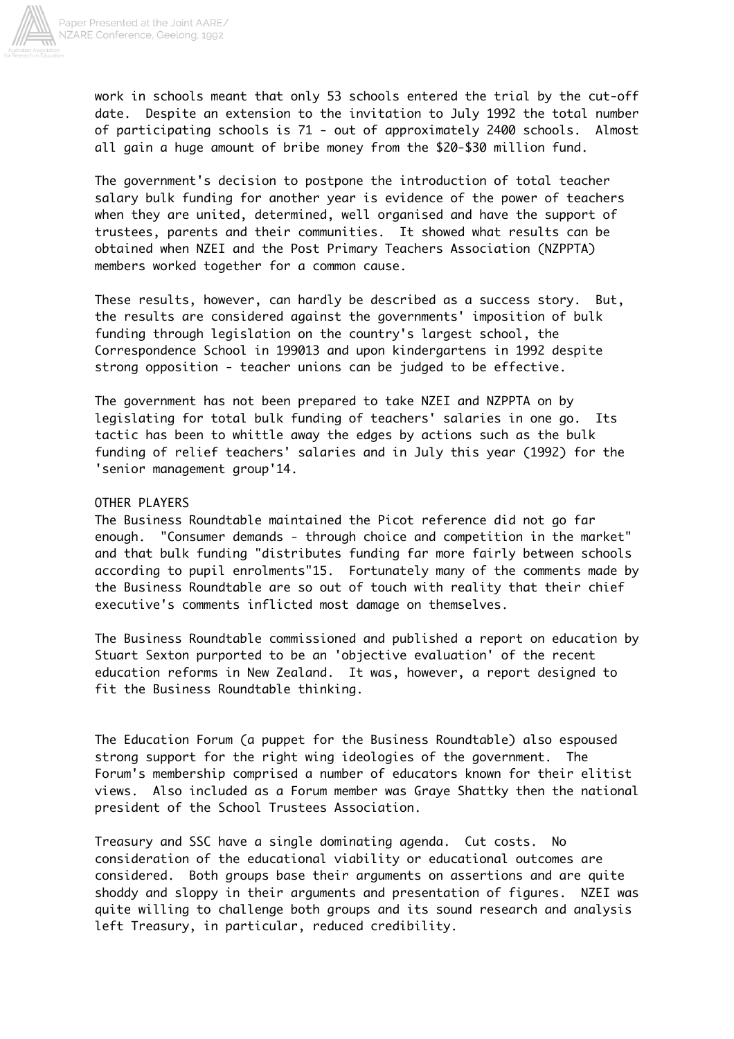

work in schools meant that only 53 schools entered the trial by the cut-off date. Despite an extension to the invitation to July 1992 the total number of participating schools is 71 - out of approximately 2400 schools. Almost all gain a huge amount of bribe money from the \$20-\$30 million fund.

The government's decision to postpone the introduction of total teacher salary bulk funding for another year is evidence of the power of teachers when they are united, determined, well organised and have the support of trustees, parents and their communities. It showed what results can be obtained when NZEI and the Post Primary Teachers Association (NZPPTA) members worked together for a common cause.

These results, however, can hardly be described as a success story. But, the results are considered against the governments' imposition of bulk funding through legislation on the country's largest school, the Correspondence School in 199013 and upon kindergartens in 1992 despite strong opposition - teacher unions can be judged to be effective.

The government has not been prepared to take NZEI and NZPPTA on by legislating for total bulk funding of teachers' salaries in one go. Its tactic has been to whittle away the edges by actions such as the bulk funding of relief teachers' salaries and in July this year (1992) for the 'senior management group'14.

### OTHER PLAYERS

The Business Roundtable maintained the Picot reference did not go far enough. "Consumer demands - through choice and competition in the market" and that bulk funding "distributes funding far more fairly between schools according to pupil enrolments"15. Fortunately many of the comments made by the Business Roundtable are so out of touch with reality that their chief executive's comments inflicted most damage on themselves.

The Business Roundtable commissioned and published a report on education by Stuart Sexton purported to be an 'objective evaluation' of the recent education reforms in New Zealand. It was, however, a report designed to fit the Business Roundtable thinking.

The Education Forum (a puppet for the Business Roundtable) also espoused strong support for the right wing ideologies of the government. The Forum's membership comprised a number of educators known for their elitist views. Also included as a Forum member was Graye Shattky then the national president of the School Trustees Association.

Treasury and SSC have a single dominating agenda. Cut costs. No consideration of the educational viability or educational outcomes are considered. Both groups base their arguments on assertions and are quite shoddy and sloppy in their arguments and presentation of figures. NZEI was quite willing to challenge both groups and its sound research and analysis left Treasury, in particular, reduced credibility.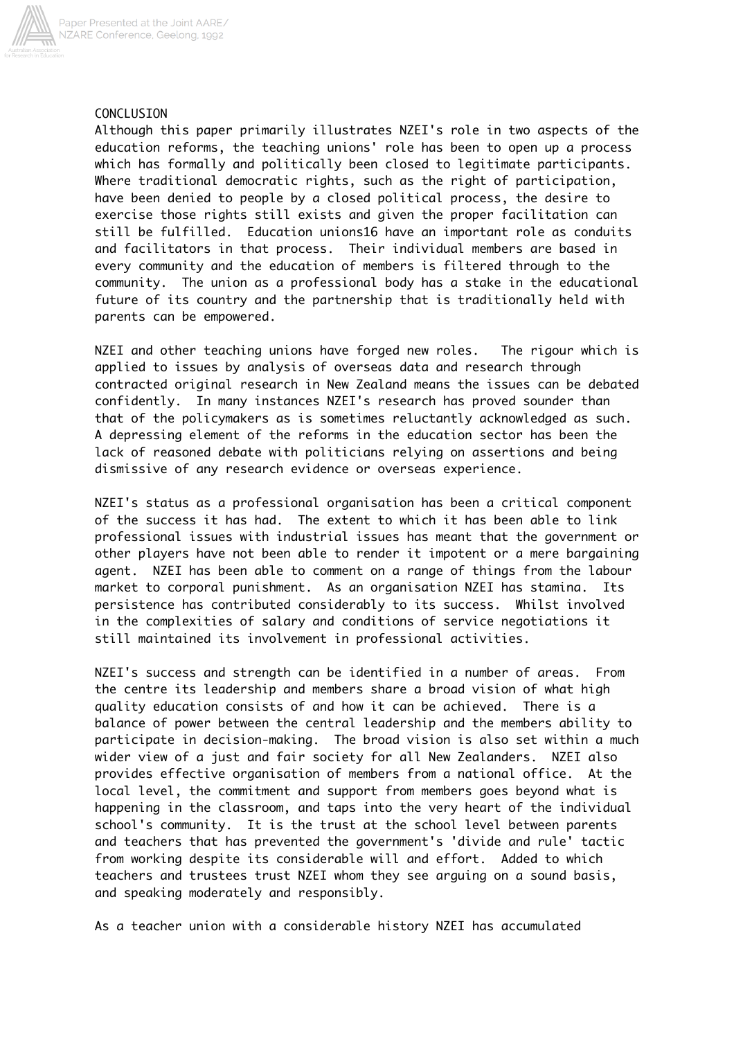

### CONCLUSION

Although this paper primarily illustrates NZEI's role in two aspects of the education reforms, the teaching unions' role has been to open up a process which has formally and politically been closed to legitimate participants. Where traditional democratic rights, such as the right of participation, have been denied to people by a closed political process, the desire to exercise those rights still exists and given the proper facilitation can still be fulfilled. Education unions16 have an important role as conduits and facilitators in that process. Their individual members are based in every community and the education of members is filtered through to the community. The union as a professional body has a stake in the educational future of its country and the partnership that is traditionally held with parents can be empowered.

NZEI and other teaching unions have forged new roles. The rigour which is applied to issues by analysis of overseas data and research through contracted original research in New Zealand means the issues can be debated confidently. In many instances NZEI's research has proved sounder than that of the policymakers as is sometimes reluctantly acknowledged as such. A depressing element of the reforms in the education sector has been the lack of reasoned debate with politicians relying on assertions and being dismissive of any research evidence or overseas experience.

NZEI's status as a professional organisation has been a critical component of the success it has had. The extent to which it has been able to link professional issues with industrial issues has meant that the government or other players have not been able to render it impotent or a mere bargaining agent. NZEI has been able to comment on a range of things from the labour market to corporal punishment. As an organisation NZEI has stamina. Its persistence has contributed considerably to its success. Whilst involved in the complexities of salary and conditions of service negotiations it still maintained its involvement in professional activities.

NZEI's success and strength can be identified in a number of areas. From the centre its leadership and members share a broad vision of what high quality education consists of and how it can be achieved. There is a balance of power between the central leadership and the members ability to participate in decision-making. The broad vision is also set within a much wider view of a just and fair society for all New Zealanders. NZEI also provides effective organisation of members from a national office. At the local level, the commitment and support from members goes beyond what is happening in the classroom, and taps into the very heart of the individual school's community. It is the trust at the school level between parents and teachers that has prevented the government's 'divide and rule' tactic from working despite its considerable will and effort. Added to which teachers and trustees trust NZEI whom they see arguing on a sound basis, and speaking moderately and responsibly.

As a teacher union with a considerable history NZEI has accumulated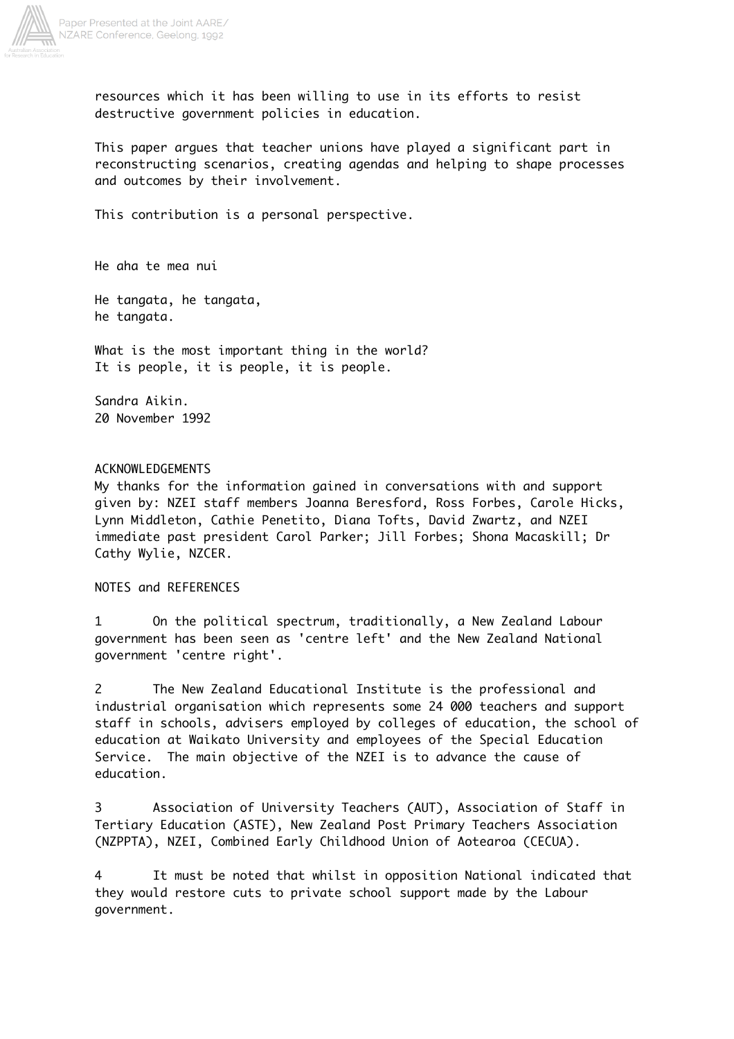

resources which it has been willing to use in its efforts to resist destructive government policies in education.

This paper argues that teacher unions have played a significant part in reconstructing scenarios, creating agendas and helping to shape processes and outcomes by their involvement.

This contribution is a personal perspective.

He aha te mea nui

He tangata, he tangata, he tangata.

What is the most important thing in the world? It is people, it is people, it is people.

Sandra Aikin. 20 November 1992

### ACKNOWLEDGEMENTS

My thanks for the information gained in conversations with and support given by: NZEI staff members Joanna Beresford, Ross Forbes, Carole Hicks, Lynn Middleton, Cathie Penetito, Diana Tofts, David Zwartz, and NZEI immediate past president Carol Parker; Jill Forbes; Shona Macaskill; Dr Cathy Wylie, NZCER.

NOTES and REFERENCES

1 On the political spectrum, traditionally, a New Zealand Labour government has been seen as 'centre left' and the New Zealand National government 'centre right'.

The New Zealand Educational Institute is the professional and industrial organisation which represents some 24 000 teachers and support staff in schools, advisers employed by colleges of education, the school of education at Waikato University and employees of the Special Education Service. The main objective of the NZEI is to advance the cause of education.

3 Association of University Teachers (AUT), Association of Staff in Tertiary Education (ASTE), New Zealand Post Primary Teachers Association (NZPPTA), NZEI, Combined Early Childhood Union of Aotearoa (CECUA).

4 It must be noted that whilst in opposition National indicated that they would restore cuts to private school support made by the Labour government.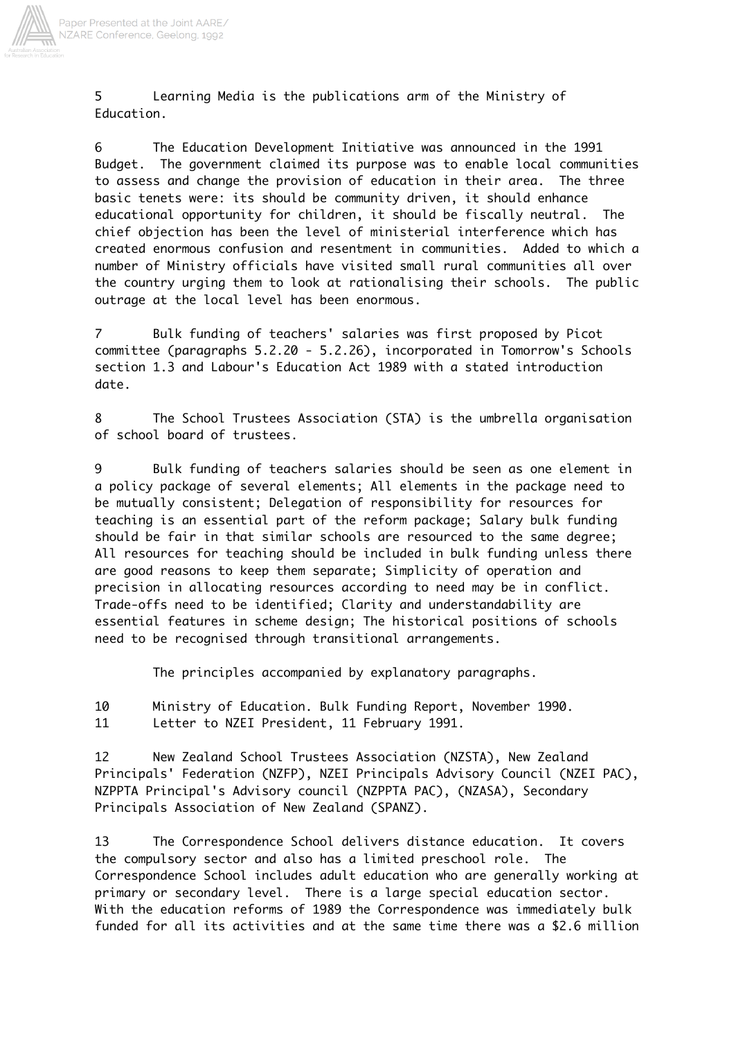

5 Learning Media is the publications arm of the Ministry of Education.

6 The Education Development Initiative was announced in the 1991 Budget. The government claimed its purpose was to enable local communities to assess and change the provision of education in their area. The three basic tenets were: its should be community driven, it should enhance educational opportunity for children, it should be fiscally neutral. The chief objection has been the level of ministerial interference which has created enormous confusion and resentment in communities. Added to which a number of Ministry officials have visited small rural communities all over the country urging them to look at rationalising their schools. The public outrage at the local level has been enormous.

7 Bulk funding of teachers' salaries was first proposed by Picot committee (paragraphs 5.2.20 - 5.2.26), incorporated in Tomorrow's Schools section 1.3 and Labour's Education Act 1989 with a stated introduction date.

8 The School Trustees Association (STA) is the umbrella organisation of school board of trustees.

9 Bulk funding of teachers salaries should be seen as one element in a policy package of several elements; All elements in the package need to be mutually consistent; Delegation of responsibility for resources for teaching is an essential part of the reform package; Salary bulk funding should be fair in that similar schools are resourced to the same degree; All resources for teaching should be included in bulk funding unless there are good reasons to keep them separate; Simplicity of operation and precision in allocating resources according to need may be in conflict. Trade-offs need to be identified; Clarity and understandability are essential features in scheme design; The historical positions of schools need to be recognised through transitional arrangements.

The principles accompanied by explanatory paragraphs.

10 Ministry of Education. Bulk Funding Report, November 1990.

11 Letter to NZEI President, 11 February 1991.

12 New Zealand School Trustees Association (NZSTA), New Zealand Principals' Federation (NZFP), NZEI Principals Advisory Council (NZEI PAC), NZPPTA Principal's Advisory council (NZPPTA PAC), (NZASA), Secondary Principals Association of New Zealand (SPANZ).

13 The Correspondence School delivers distance education. It covers the compulsory sector and also has a limited preschool role. The Correspondence School includes adult education who are generally working at primary or secondary level. There is a large special education sector. With the education reforms of 1989 the Correspondence was immediately bulk funded for all its activities and at the same time there was a \$2.6 million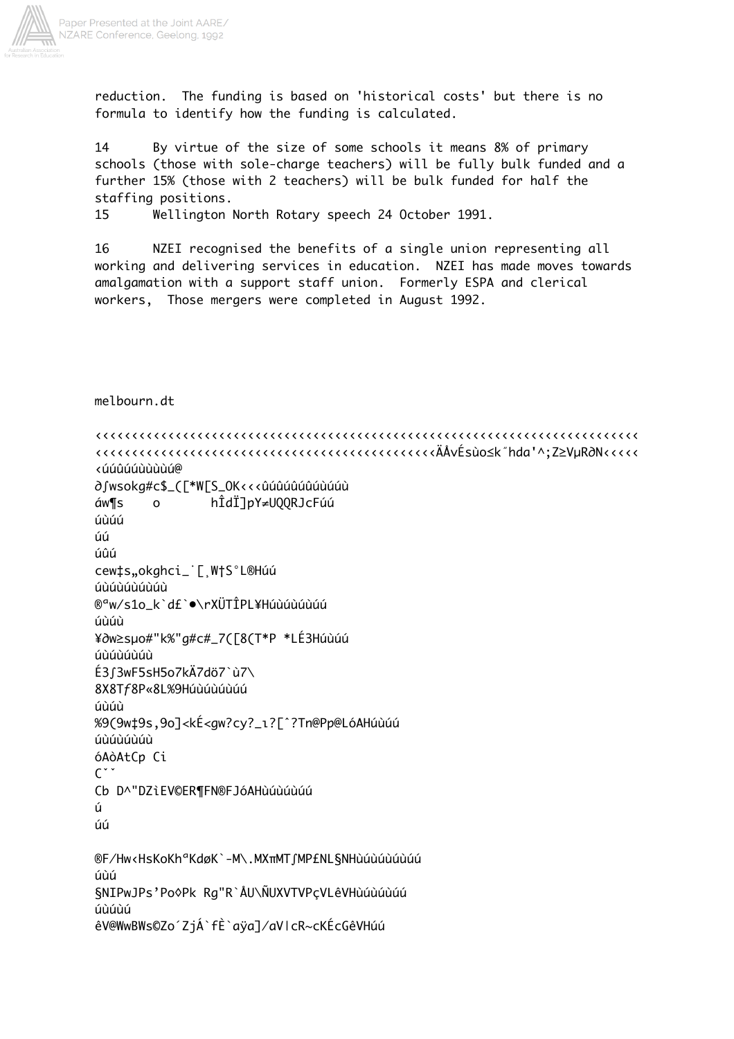

reduction. The funding is based on 'historical costs' but there is no formula to identify how the funding is calculated.

By virtue of the size of some schools it means 8% of primary 14 schools (those with sole-charge teachers) will be fully bulk funded and a further 15% (those with 2 teachers) will be bulk funded for half the staffing positions.

Wellington North Rotary speech 24 October 1991. 15

NZEI recognised the benefits of a single union representing all 16 working and delivering services in education. NZEI has made moves towards amalgamation with a support staff union. Formerly ESPA and clerical workers, Those mergers were completed in August 1992.

melbourn.dt

<úúûúúùùùùú@ ∂∫wsokg#c\$\_([\*W[S\_0K < < αμάναμανιάνι áw¶s hÎdÏ]pY≠UQQRJcFúú  $\Omega$ úùúú úú úûú cew‡s"okghci\_`[ˌW†S°L®Húú úùúùúùúùúù ®ªw/s1o k`d£`•\rXÜTÎPL¥Húùúùúùúú úùúù ¥∂w≥sµo#"k%"g#c#\_7([8(T\*P \*LÉ3Húùúú úùúùúúù É3f3wF5sH5o7kÄ7dö7`ù7\ 8X8Tf8P«8L%9Húùúùúùúú úùúù %9(9wt9s,9o]<kÉ<gw?cy?\_1?[^?Tn@Pp@LóAHúùúú úùúùúúù óAòAtCp Ci  $\mathfrak{c}$ . Cb D^"DZìEV©ER¶FN®FJóAHùúùúùúú ú úú ®F/Hw<HsKoKh<sup>a</sup>KdøK`-M\.MXπMT∫MP£NL§NHùúùúûúûúúú úùú SNIPwJPs'Po�Pk Rg"R`ÅU\ÑUXVTVPçVLêVHùúùúùúú úùúùú êV@WwBWs©Zo´ZjÁ`fÈ`aÿa]/aVlcR~cKÉcGêVHúú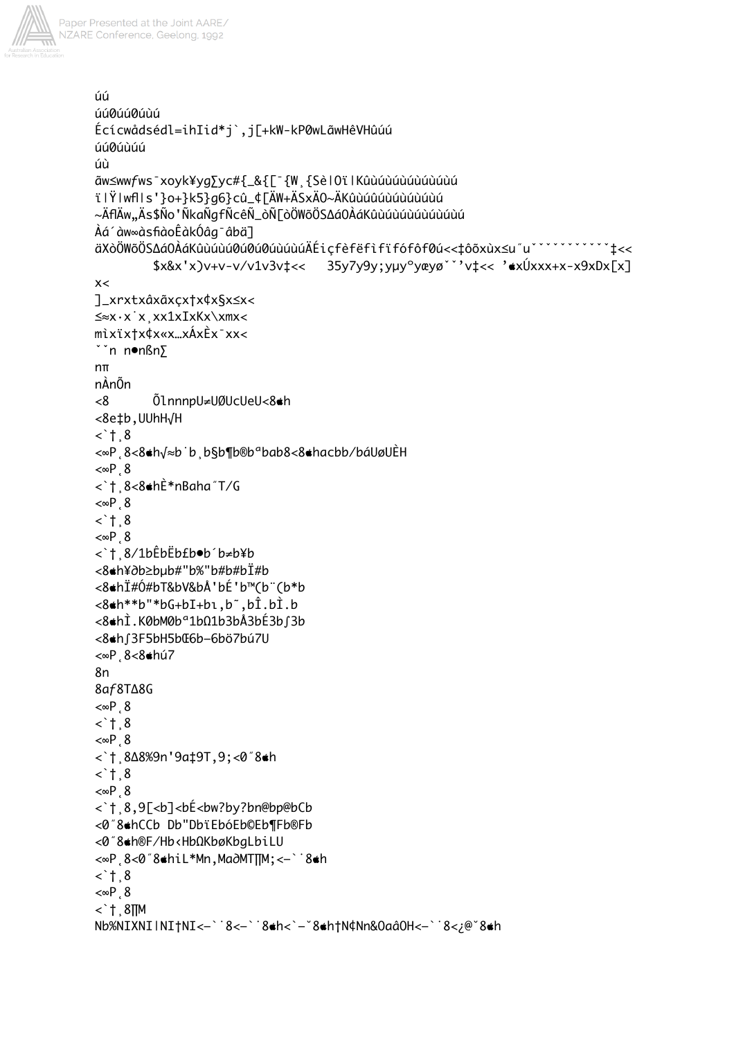

```
úú
úú0úú0úùú
Écícwådsédl=ihIid*j`,j[+kW-kP0wLãwHêVHûúú
úú0úùúú
úù
ãw≤wwfws<sup>-</sup>xoyk¥yg∑yc#{_&{[<sup>-</sup>{W</sup>, {SèlOïlKûùúùúùúùúùúùúù
ï |Ÿ|wfl|s'}o+}k5}g6}cû_¢[ÄW+ÄSxÄO~ÄKûùúûúùúùúùúùú
~ÄflÄw"Äs$Ño'ÑkaÑgfÑcêÑ_òÑ[òÖWõÖS∆á0ÀáKûùúùúùúùúùúùú
Áá´àw∞àsfiàoËàkÒâg<sup>-</sup>âbä]
äXòÖWõÖS∆áOÀáKûùúùú0ú0ú0úùúúùúÄÉiçfèfëfìfïfófôf0ú<<‡ôõxùx≤u″u`
                                                                                     \cdots \cdots \ddot{\phantom{1}} \ddot{\phantom{1}}x^3x^2x)v+v-v/v1v3vt << 35y7y9y;yuy°yæyø``'vt <<'\star xÚxxx+x-x9xDx[x]
x<]_xrxtxâxãxçx†x¢x§x≤x<
mìxïx†x¢x«x…xÁxÈx<sup>-</sup>xx<
``n n•nßn∑
n\pinÀnỗn
< 8ÕlnnnpU≠UØUcUeU<8
<8e‡b, UUhH√H
3 + 1.8<∞P,8<8€h√≈b`b,b§b¶b®bªbab8<8€hacbb/báUøUÈH
\langle \infty P \cdot 8\langle \cdot \rangle† 8<8\starhÈ*nBaha "T/G
<\inftyP 8< 1.8
\langle \infty P \cdot 8<`† 8/1bÊbËb£b•b´b≠b¥b
<8«h¥∂b≥bµb#"b%"b#b#bÏ#b
<8«hÏ#Ó#bT&bV&bÅ'bÉ'b™(b"(b*b
\langle8\starh**b"*bG+bI+b1,b~,bÎ.bÌ.b
<8€hÌ.K0bM0bª1bΩ1b3bÅ3bÉ3b∫3b
<8*hf3F5bH5bŒ6b-6bö7bú7U
<∞P 8<8€hú7
8n
8af8T∆8G
\llcorner \infty P, 8
< + .8\langle \infty P \cdot 8\langle \† 8Δ8%9n'9a‡9T,9;<0<sup>"8</sup> sh
< 1, 8
\langle \infty P \rangle 8
<` | 8,9[<b]<b<sup>2</sup><bd><bw?by?bn@bp@bCb
<0"8*hCCb Db"DbiEbóEb©Eb¶Fb®Fb
<0"8 h®F/Hb <HbΩKbøKbgLbiLU
<∞P, 8<0"8€hiL*Mn, MadMT∏M;<-``8€h
< 1.8
<\inftyP 8< + \sqrt{3} 8 MM
Nb%NIXNI|NI|NI<-``&<-``&th<`-`&th|N¢Nn&OaâOH<-``&<¿@`&th
```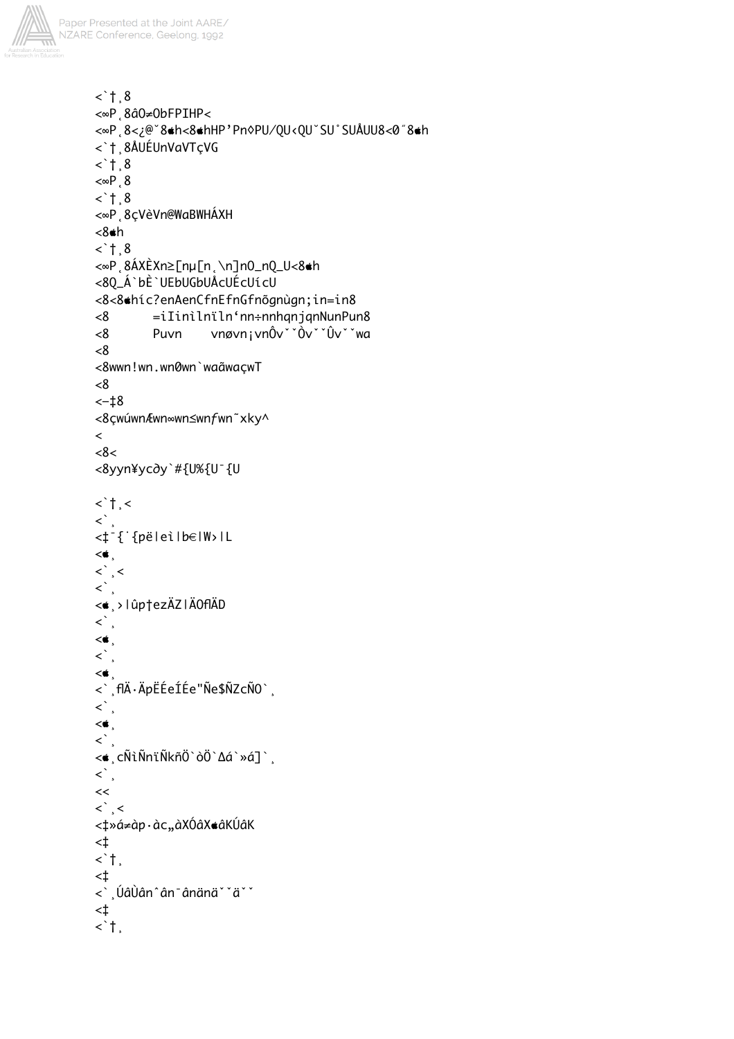

```
< + \frac{1}{2}<∞P 8â0≠0bFPIHP<
<~P, 8<¿@`8&h<8&hHP'Pn0PU/QU<QU`SU`SUÅUU8<0"8&h
<`† 8ÅUÉUnVaVTçVG
< 1.8
\langle \infty P, 8 \rangle< 1.8
<∞P 8çVèVn@WaBWHÁXH
<8∉h
< 1, 8
<∞P 8ÁXÈXn≥[nµ[n \n]n0_nQ_U<8
<8Q_Á`bÈ`UEbUGbUÅcUÉcUícU
<8<8thic?enAenCfnEfnGfnognugn;in=in8
< 8=iIinìlnïln'nn÷nnhqnjqnNunPun8
                     vnøvn; vnÔv``Òv``Ûv``wa
< 8Puvn
< 8<8wwn!wn.wn0wn`waãwaçwT
< 8-18<8cwúwnÆwn∞wn≤wnfwn~xky^
\,<<8<<8yyn¥ycdy`#{U%{U<sup>-</sup>{U
\langle \cdot | \cdot \rangle\langle \cdot<‡<sup>-</sup>{'{pëleì|b€|W>|L
\leq\langle, \langle\langle \cdot<<br />
slûptezÄZlÄOflÄD
\langle \cdot< \bullet.
\langle \cdot<< AÄ.ÄpËÉeÍÉe"Ñe$ÑZcÑO
\langle,
\prect
\langle \cdot<
■, cÑìÑnïÑkñÖ`òÖ`∆á`»á]`,
\langle,
```
 $\langle \cdot \rangle$ <‡»á≠àp∙àc"àXÓâX«âKÚâK  $\langle \cdot \rangle$ 

<`,ÚâÙân^ân<sup>-</sup>ânänä``ä``

 $<<$ 

 $<$ ‡

 $<$ ‡

 $<$ ‡  $\langle \cdot \rangle$